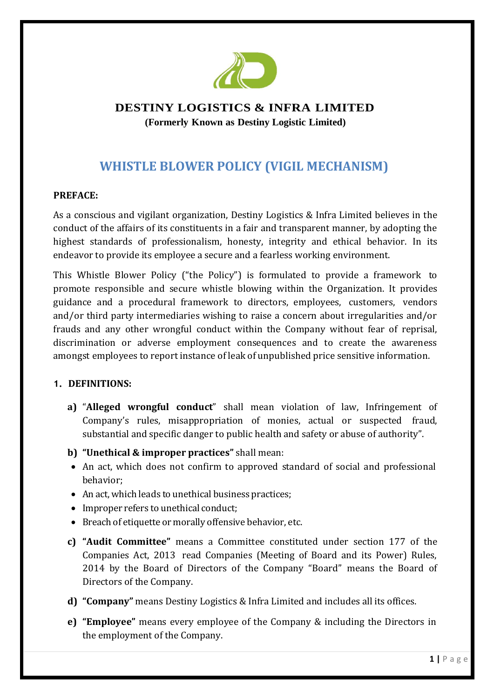

# **DESTINY LOGISTICS & INFRA LIMITED (Formerly Known as Destiny Logistic Limited)**

# **WHISTLE BLOWER POLICY (VIGIL MECHANISM)**

# **PREFACE:**

As a conscious and vigilant organization, Destiny Logistics & Infra Limited believes in the conduct of the affairs of its constituents in a fair and transparent manner, by adopting the highest standards of professionalism, honesty, integrity and ethical behavior. In its endeavor to provide its employee a secure and a fearless working environment.

This Whistle Blower Policy ("the Policy") is formulated to provide a framework to promote responsible and secure whistle blowing within the Organization. It provides guidance and a procedural framework to directors, employees, customers, vendors and/or third party intermediaries wishing to raise a concern about irregularities and/or frauds and any other wrongful conduct within the Company without fear of reprisal, discrimination or adverse employment consequences and to create the awareness amongst employees to report instance of leak of unpublished price sensitive information.

#### **1. DEFINITIONS:**

- **a)** "**Alleged wrongful conduct**" shall mean violation of law, Infringement of Company's rules, misappropriation of monies, actual or suspected fraud, substantial and specific danger to public health and safety or abuse of authority".
- **b) "Unethical & improper practices"** shall mean:
- An act, which does not confirm to approved standard of social and professional behavior;
- An act, which leads to unethical business practices;
- Improper refers to unethical conduct;
- Breach of etiquette or morally offensive behavior, etc.
- **c) "Audit Committee"** means a Committee constituted under section 177 of the Companies Act, 2013 read Companies (Meeting of Board and its Power) Rules, 2014 by the Board of Directors of the Company "Board" means the Board of Directors of the Company.
- **d) "Company"** means Destiny Logistics & Infra Limited and includes all its offices.
- **e) "Employee"** means every employee of the Company & including the Directors in the employment of the Company.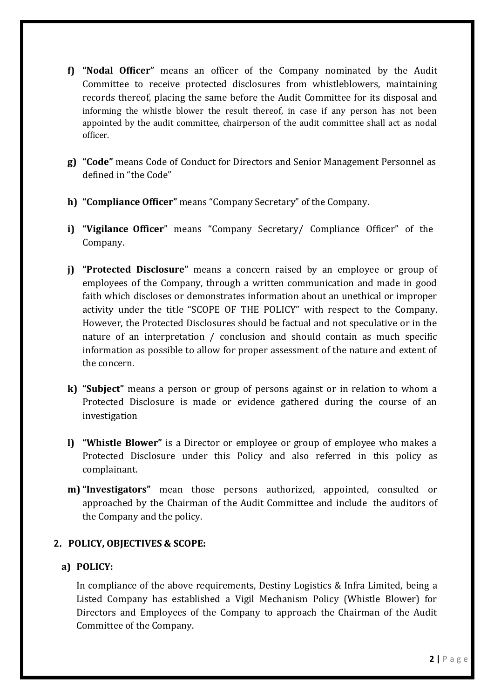- **f) "Nodal Officer"** means an officer of the Company nominated by the Audit Committee to receive protected disclosures from whistleblowers, maintaining records thereof, placing the same before the Audit Committee for its disposal and informing the whistle blower the result thereof, in case if any person has not been appointed by the audit committee, chairperson of the audit committee shall act as nodal officer.
- **g) "Code"** means Code of Conduct for Directors and Senior Management Personnel as defined in "the Code"
- **h) "Compliance Officer"** means "Company Secretary" of the Company.
- **i) "Vigilance Officer**" means "Company Secretary/ Compliance Officer" of the Company.
- **j) "Protected Disclosure"** means a concern raised by an employee or group of employees of the Company, through a written communication and made in good faith which discloses or demonstrates information about an unethical or improper activity under the title "SCOPE OF THE POLICY" with respect to the Company. However, the Protected Disclosures should be factual and not speculative or in the nature of an interpretation / conclusion and should contain as much specific information as possible to allow for proper assessment of the nature and extent of the concern.
- **k) "Subject"** means a person or group of persons against or in relation to whom a Protected Disclosure is made or evidence gathered during the course of an investigation
- **l) "Whistle Blower"** is a Director or employee or group of employee who makes a Protected Disclosure under this Policy and also referred in this policy as complainant.
- **m) "Investigators"** mean those persons authorized, appointed, consulted or approached by the Chairman of the Audit Committee and include the auditors of the Company and the policy.

# **2. POLICY, OBJECTIVES & SCOPE:**

# **a) POLICY:**

In compliance of the above requirements, Destiny Logistics & Infra Limited, being a Listed Company has established a Vigil Mechanism Policy (Whistle Blower) for Directors and Employees of the Company to approach the Chairman of the Audit Committee of the Company.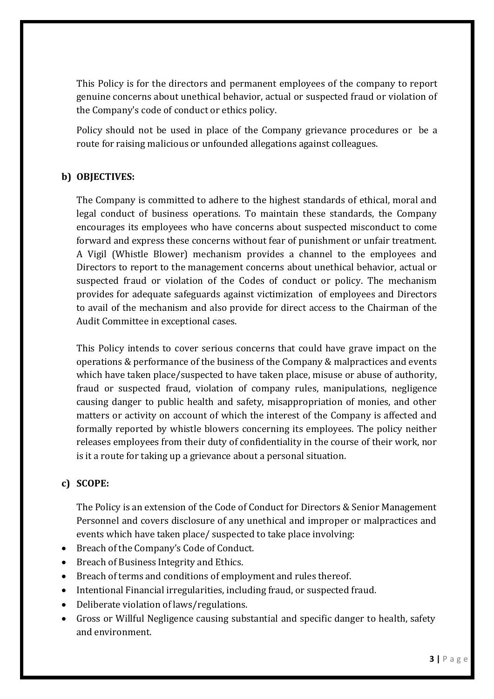This Policy is for the directors and permanent employees of the company to report genuine concerns about unethical behavior, actual or suspected fraud or violation of the Company's code of conduct or ethics policy.

Policy should not be used in place of the Company grievance procedures or be a route for raising malicious or unfounded allegations against colleagues.

# **b) OBJECTIVES:**

The Company is committed to adhere to the highest standards of ethical, moral and legal conduct of business operations. To maintain these standards, the Company encourages its employees who have concerns about suspected misconduct to come forward and express these concerns without fear of punishment or unfair treatment. A Vigil (Whistle Blower) mechanism provides a channel to the employees and Directors to report to the management concerns about unethical behavior, actual or suspected fraud or violation of the Codes of conduct or policy. The mechanism provides for adequate safeguards against victimization of employees and Directors to avail of the mechanism and also provide for direct access to the Chairman of the Audit Committee in exceptional cases.

This Policy intends to cover serious concerns that could have grave impact on the operations & performance of the business of the Company & malpractices and events which have taken place/suspected to have taken place, misuse or abuse of authority, fraud or suspected fraud, violation of company rules, manipulations, negligence causing danger to public health and safety, misappropriation of monies, and other matters or activity on account of which the interest of the Company is affected and formally reported by whistle blowers concerning its employees. The policy neither releases employees from their duty of confidentiality in the course of their work, nor is it a route for taking up a grievance about a personal situation.

# **c) SCOPE:**

The Policy is an extension of the Code of Conduct for Directors & Senior Management Personnel and covers disclosure of any unethical and improper or malpractices and events which have taken place/ suspected to take place involving:

- Breach of the Company's Code of Conduct.
- Breach of Business Integrity and Ethics.
- Breach of terms and conditions of employment and rules thereof.
- Intentional Financial irregularities, including fraud, or suspected fraud.
- Deliberate violation of laws/regulations.
- Gross or Willful Negligence causing substantial and specific danger to health, safety and environment.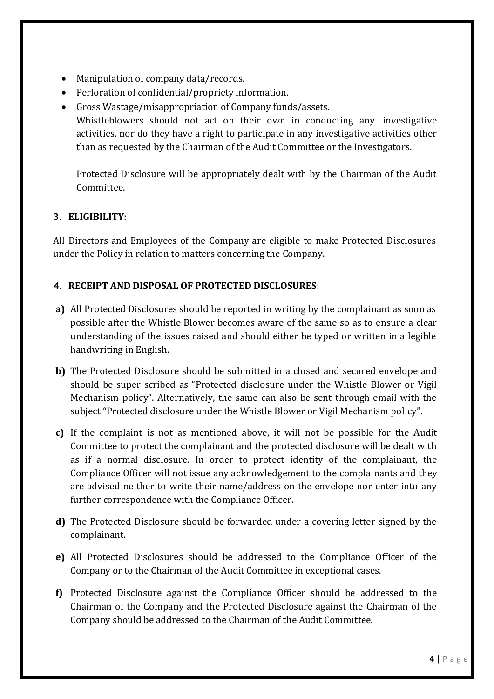- Manipulation of company data/records.
- Perforation of confidential/propriety information.
- Gross Wastage/misappropriation of Company funds/assets. Whistleblowers should not act on their own in conducting any investigative activities, nor do they have a right to participate in any investigative activities other than as requested by the Chairman of the Audit Committee or the Investigators.

Protected Disclosure will be appropriately dealt with by the Chairman of the Audit Committee.

# **3. ELIGIBILITY**:

All Directors and Employees of the Company are eligible to make Protected Disclosures under the Policy in relation to matters concerning the Company.

# **4. RECEIPT AND DISPOSAL OF PROTECTED DISCLOSURES**:

- **a)** All Protected Disclosures should be reported in writing by the complainant as soon as possible after the Whistle Blower becomes aware of the same so as to ensure a clear understanding of the issues raised and should either be typed or written in a legible handwriting in English.
- **b)** The Protected Disclosure should be submitted in a closed and secured envelope and should be super scribed as "Protected disclosure under the Whistle Blower or Vigil Mechanism policy". Alternatively, the same can also be sent through email with the subject "Protected disclosure under the Whistle Blower or Vigil Mechanism policy".
- **c)** If the complaint is not as mentioned above, it will not be possible for the Audit Committee to protect the complainant and the protected disclosure will be dealt with as if a normal disclosure. In order to protect identity of the complainant, the Compliance Officer will not issue any acknowledgement to the complainants and they are advised neither to write their name/address on the envelope nor enter into any further correspondence with the Compliance Officer.
- **d)** The Protected Disclosure should be forwarded under a covering letter signed by the complainant.
- **e)** All Protected Disclosures should be addressed to the Compliance Officer of the Company or to the Chairman of the Audit Committee in exceptional cases.
- **f)** Protected Disclosure against the Compliance Officer should be addressed to the Chairman of the Company and the Protected Disclosure against the Chairman of the Company should be addressed to the Chairman of the Audit Committee.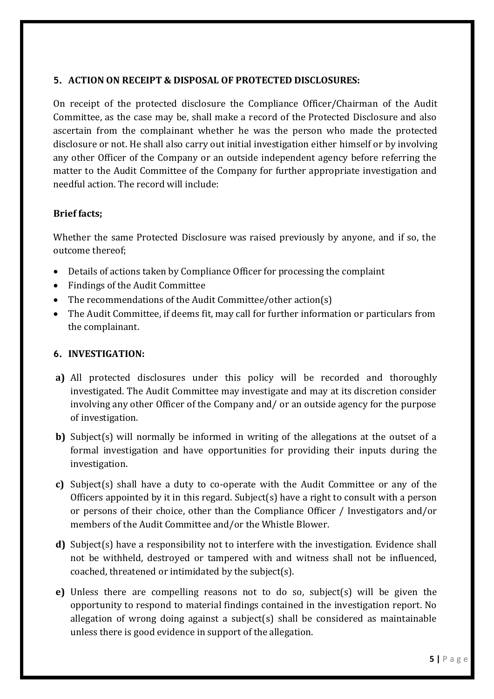# **5. ACTION ON RECEIPT & DISPOSAL OF PROTECTED DISCLOSURES:**

On receipt of the protected disclosure the Compliance Officer/Chairman of the Audit Committee, as the case may be, shall make a record of the Protected Disclosure and also ascertain from the complainant whether he was the person who made the protected disclosure or not. He shall also carry out initial investigation either himself or by involving any other Officer of the Company or an outside independent agency before referring the matter to the Audit Committee of the Company for further appropriate investigation and needful action. The record will include:

# **Brief facts;**

Whether the same Protected Disclosure was raised previously by anyone, and if so, the outcome thereof;

- Details of actions taken by Compliance Officer for processing the complaint
- Findings of the Audit Committee
- The recommendations of the Audit Committee/other action(s)
- The Audit Committee, if deems fit, may call for further information or particulars from the complainant.

# **6. INVESTIGATION:**

- **a)** All protected disclosures under this policy will be recorded and thoroughly investigated. The Audit Committee may investigate and may at its discretion consider involving any other Officer of the Company and/ or an outside agency for the purpose of investigation.
- **b)** Subject(s) will normally be informed in writing of the allegations at the outset of a formal investigation and have opportunities for providing their inputs during the investigation.
- **c)** Subject(s) shall have a duty to co-operate with the Audit Committee or any of the Officers appointed by it in this regard. Subject(s) have a right to consult with a person or persons of their choice, other than the Compliance Officer / Investigators and/or members of the Audit Committee and/or the Whistle Blower.
- **d)** Subject(s) have a responsibility not to interfere with the investigation. Evidence shall not be withheld, destroyed or tampered with and witness shall not be influenced, coached, threatened or intimidated by the subject(s).
- **e)** Unless there are compelling reasons not to do so, subject(s) will be given the opportunity to respond to material findings contained in the investigation report. No allegation of wrong doing against a subject(s) shall be considered as maintainable unless there is good evidence in support of the allegation.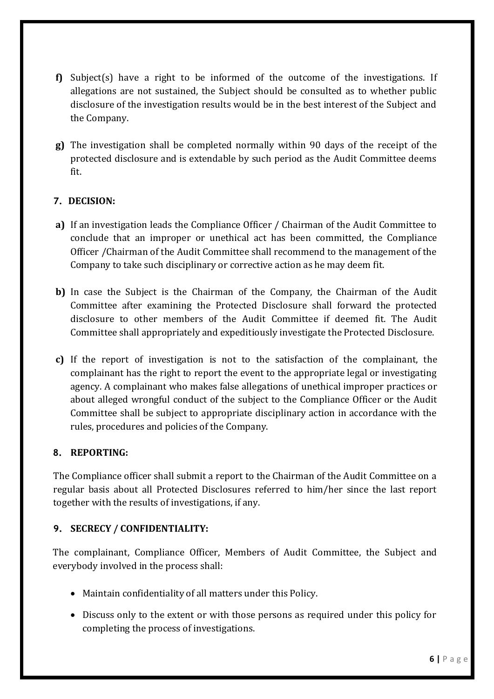- **f)** Subject(s) have a right to be informed of the outcome of the investigations. If allegations are not sustained, the Subject should be consulted as to whether public disclosure of the investigation results would be in the best interest of the Subject and the Company.
- **g)** The investigation shall be completed normally within 90 days of the receipt of the protected disclosure and is extendable by such period as the Audit Committee deems fit.

# **7. DECISION:**

- **a)** If an investigation leads the Compliance Officer / Chairman of the Audit Committee to conclude that an improper or unethical act has been committed, the Compliance Officer /Chairman of the Audit Committee shall recommend to the management of the Company to take such disciplinary or corrective action as he may deem fit.
- **b)** In case the Subject is the Chairman of the Company, the Chairman of the Audit Committee after examining the Protected Disclosure shall forward the protected disclosure to other members of the Audit Committee if deemed fit. The Audit Committee shall appropriately and expeditiously investigate the Protected Disclosure.
- **c)** If the report of investigation is not to the satisfaction of the complainant, the complainant has the right to report the event to the appropriate legal or investigating agency. A complainant who makes false allegations of unethical improper practices or about alleged wrongful conduct of the subject to the Compliance Officer or the Audit Committee shall be subject to appropriate disciplinary action in accordance with the rules, procedures and policies of the Company.

# **8. REPORTING:**

The Compliance officer shall submit a report to the Chairman of the Audit Committee on a regular basis about all Protected Disclosures referred to him/her since the last report together with the results of investigations, if any.

# **9. SECRECY / CONFIDENTIALITY:**

The complainant, Compliance Officer, Members of Audit Committee, the Subject and everybody involved in the process shall:

- Maintain confidentiality of all matters under this Policy.
- Discuss only to the extent or with those persons as required under this policy for completing the process of investigations.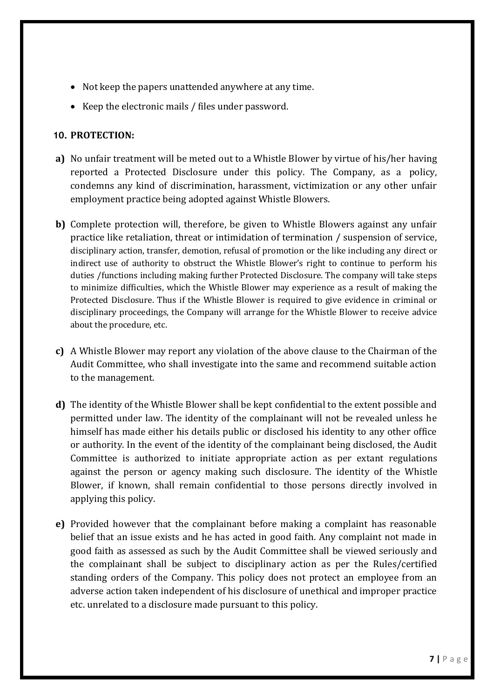- Not keep the papers unattended anywhere at any time.
- Keep the electronic mails / files under password.

#### **10. PROTECTION:**

- **a)** No unfair treatment will be meted out to a Whistle Blower by virtue of his/her having reported a Protected Disclosure under this policy. The Company, as a policy, condemns any kind of discrimination, harassment, victimization or any other unfair employment practice being adopted against Whistle Blowers.
- **b)** Complete protection will, therefore, be given to Whistle Blowers against any unfair practice like retaliation, threat or intimidation of termination / suspension of service, disciplinary action, transfer, demotion, refusal of promotion or the like including any direct or indirect use of authority to obstruct the Whistle Blower's right to continue to perform his duties /functions including making further Protected Disclosure. The company will take steps to minimize difficulties, which the Whistle Blower may experience as a result of making the Protected Disclosure. Thus if the Whistle Blower is required to give evidence in criminal or disciplinary proceedings, the Company will arrange for the Whistle Blower to receive advice about the procedure, etc.
- **c)** A Whistle Blower may report any violation of the above clause to the Chairman of the Audit Committee, who shall investigate into the same and recommend suitable action to the management.
- **d)** The identity of the Whistle Blower shall be kept confidential to the extent possible and permitted under law. The identity of the complainant will not be revealed unless he himself has made either his details public or disclosed his identity to any other office or authority. In the event of the identity of the complainant being disclosed, the Audit Committee is authorized to initiate appropriate action as per extant regulations against the person or agency making such disclosure. The identity of the Whistle Blower, if known, shall remain confidential to those persons directly involved in applying this policy.
- **e)** Provided however that the complainant before making a complaint has reasonable belief that an issue exists and he has acted in good faith. Any complaint not made in good faith as assessed as such by the Audit Committee shall be viewed seriously and the complainant shall be subject to disciplinary action as per the Rules/certified standing orders of the Company. This policy does not protect an employee from an adverse action taken independent of his disclosure of unethical and improper practice etc. unrelated to a disclosure made pursuant to this policy.